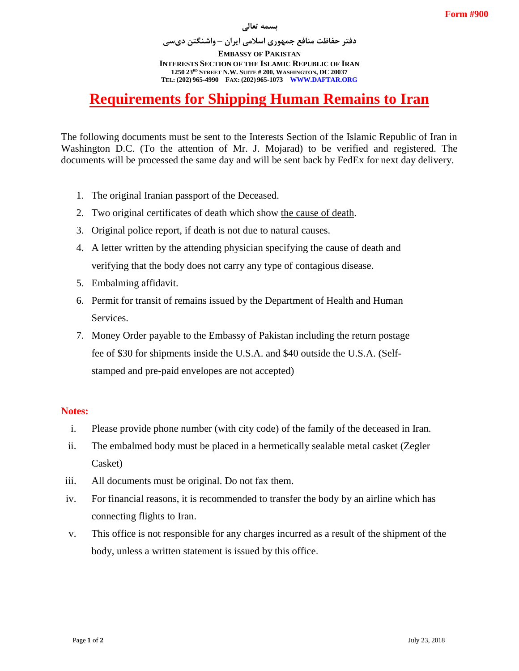## **بسمه تعالی**

**دفتر حفاظت منافع جمهوری اسالمی ایران – واشنگتن دیسی EMBASSY OF PAKISTAN INTERESTS SECTION OF THE ISLAMIC REPUBLIC OF IRAN 1250 23RD STREET N.W. SUITE # 200, WASHINGTON, DC 20037 TEL: (202) 965-4990 FAX: (202) 965-1073 WWW.DAFTAR.ORG**

# **Requirements for Shipping Human Remains to Iran**

The following documents must be sent to the Interests Section of the Islamic Republic of Iran in Washington D.C. (To the attention of Mr. J. Mojarad) to be verified and registered. The documents will be processed the same day and will be sent back by FedEx for next day delivery.

- 1. The original Iranian passport of the Deceased.
- 2. Two original certificates of death which show the cause of death.
- 3. Original police report, if death is not due to natural causes.
- 4. A letter written by the attending physician specifying the cause of death and verifying that the body does not carry any type of contagious disease.
- 5. Embalming affidavit.
- 6. Permit for transit of remains issued by the Department of Health and Human Services.
- 7. Money Order payable to the Embassy of Pakistan including the return postage fee of \$30 for shipments inside the U.S.A. and \$40 outside the U.S.A. (Selfstamped and pre-paid envelopes are not accepted)

# **Notes:**

- i. Please provide phone number (with city code) of the family of the deceased in Iran.
- ii. The embalmed body must be placed in a hermetically sealable metal casket (Zegler Casket)
- iii. All documents must be original. Do not fax them.
- iv. For financial reasons, it is recommended to transfer the body by an airline which has connecting flights to Iran.
- v. This office is not responsible for any charges incurred as a result of the shipment of the body, unless a written statement is issued by this office.